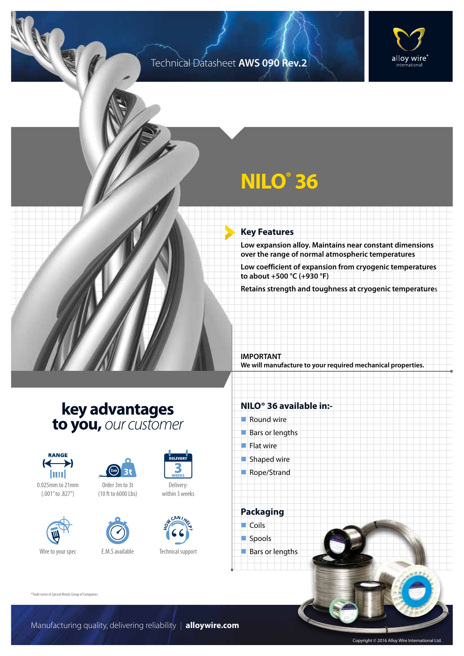### Technical Datasheet **AWS 090 Rev.2**



# **NILO® 36**

### **Key Features**

**Low expansion alloy. Maintains near constant dimensions over the range of normal atmospheric temperatures**

**Low coefficient of expansion from cryogenic temperatures to about +500 °C (+930 °F)**

**Retains strength and toughness at cryogenic temperature**s

**IMPORTANT We will manufacture to your required mechanical properties.**

## **key advantages to you,** *our customer*



0.025mm to 21mm (.001" to .827")







Delivery: within 3 weeks



Technical support

### **NILO® 36 available in:-**

- $\blacksquare$  Round wire
- $Bars$  or lengths
- $\blacksquare$  Flat wire
- $\blacksquare$  Shaped wire
- Rope/Strand

**Packaging**  $\Box$  Coils spools  $\blacksquare$  Bars or lengths

®Trade name of Special Metals Group of Companies.

Copyright © 2016 Alloy Wire International Ltd.